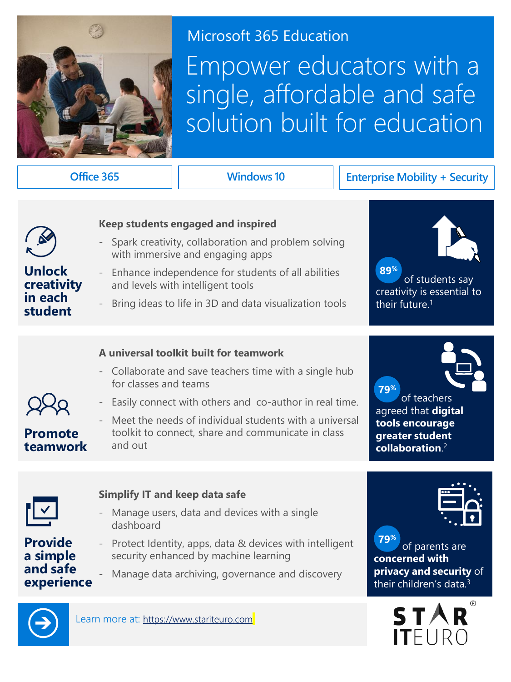

### Microsoft 365 Education

# Empower educators with a single, affordable and safe solution built for education

#### **Office 365 Windows 10 Enterprise Mobility + Security**



**Unlock creativity in each student**

#### **Keep students engaged and inspired**

- Spark creativity, collaboration and problem solving with immersive and engaging apps
- Enhance independence for students of all abilities and levels with intelligent tools
- Bring ideas to life in 3D and data visualization tools



 of students say creativity is essential to their future.<sup>1</sup>

#### **A universal toolkit built for teamwork**

- Collaborate and save teachers time with a single hub for classes and teams

- Easily connect with others and co-author in real time.
- **Promote teamwork**
- Meet the needs of individual students with a universal toolkit to connect, share and communicate in class and out

 **79%** of teachers

agreed that **digital tools encourage greater student collaboration**. 2



**Provide a simple and safe experience**

#### **Simplify IT and keep data safe**

- Manage users, data and devices with a single dashboard
- Protect Identity, apps, data & devices with intelligent security enhanced by machine learning
- Manage data archiving, governance and discovery



 of parents are **concerned with privacy and security** of their children's data.<sup>3</sup> **79%**